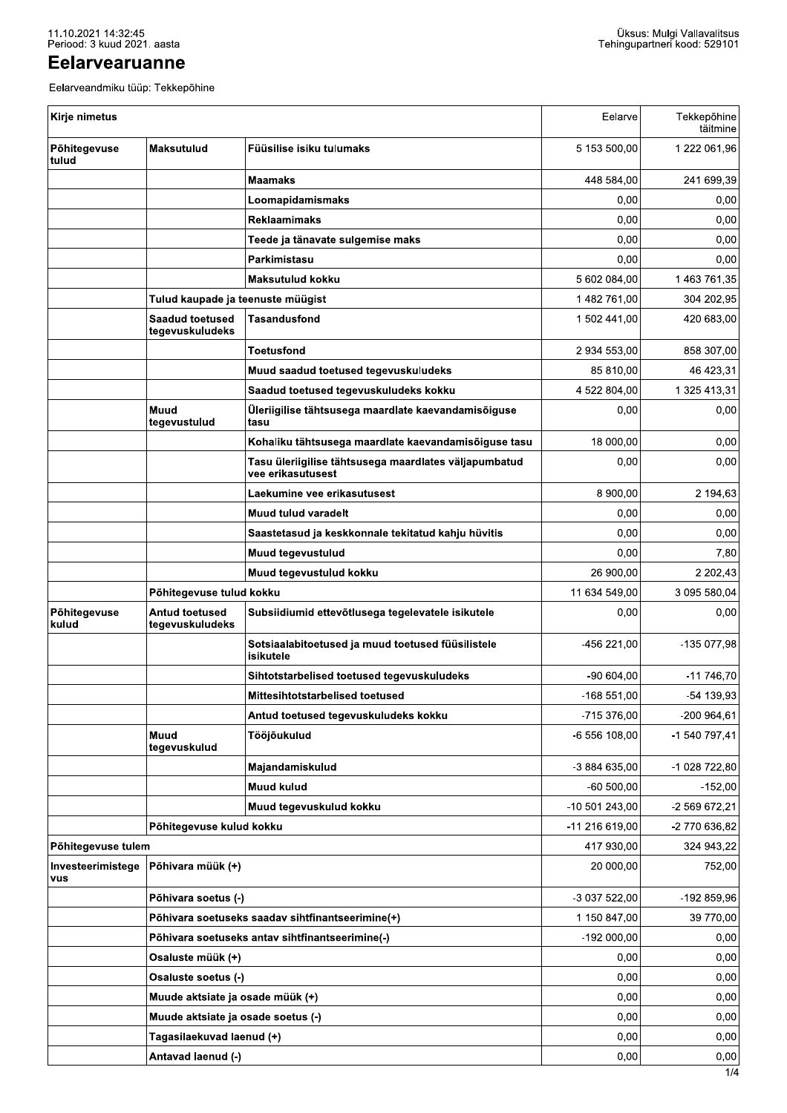## Eelarvearuanne

| Kirje nimetus            |                                           |                                                                            | Eelarve        | Tekkepõhine   |
|--------------------------|-------------------------------------------|----------------------------------------------------------------------------|----------------|---------------|
| Põhitegevuse<br>tulud    | <b>Maksutulud</b>                         | Füüsilise isiku tulumaks                                                   | 5 153 500,00   | 1 222 061,96  |
|                          |                                           | <b>Maamaks</b>                                                             | 448 584,00     | 241 699,39    |
|                          |                                           | Loomapidamismaks                                                           | 0,00           |               |
|                          |                                           | <b>Reklaamimaks</b>                                                        | 0,00           |               |
|                          |                                           | Teede ja tänavate sulgemise maks                                           | 0,00           |               |
|                          |                                           | Parkimistasu                                                               | 0,00           |               |
|                          |                                           | <b>Maksutulud kokku</b>                                                    | 5 602 084,00   | 1 463 761,35  |
|                          | Tulud kaupade ja teenuste müügist         |                                                                            | 1482 761,00    | 304 202,95    |
|                          | <b>Saadud toetused</b><br>tegevuskuludeks | <b>Tasandusfond</b>                                                        | 1 502 441,00   | 420 683,00    |
|                          |                                           | <b>Toetusfond</b>                                                          | 2 934 553,00   | 858 307,00    |
|                          |                                           | Muud saadud toetused tegevuskuludeks                                       | 85 810,00      | 46 423,31     |
|                          |                                           | Saadud toetused tegevuskuludeks kokku                                      | 4 522 804,00   | 1 325 413,31  |
|                          | Muud<br>tegevustulud                      | Üleriigilise tähtsusega maardlate kaevandamisõiguse<br>tasu                | 0,00           |               |
|                          |                                           | Kohaliku tähtsusega maardlate kaevandamisõiguse tasu                       | 18 000,00      |               |
|                          |                                           | Tasu üleriigilise tähtsusega maardlates väljapumbatud<br>vee erikasutusest | 0,00           |               |
|                          |                                           | Laekumine vee erikasutusest                                                | 8 900,00       |               |
|                          |                                           | <b>Muud tulud varadelt</b>                                                 | 0,00           |               |
|                          |                                           | Saastetasud ja keskkonnale tekitatud kahju hüvitis                         | 0,00           |               |
|                          |                                           | Muud tegevustulud                                                          | 0,00           |               |
|                          |                                           | Muud tegevustulud kokku                                                    | 26 900,00      |               |
|                          | Põhitegevuse tulud kokku                  |                                                                            | 11 634 549,00  | 3 095 580.04  |
| Põhitegevuse<br>kulud    | Antud toetused<br>tegevuskuludeks         | Subsiidiumid ettevõtlusega tegelevatele isikutele                          | 0,00           |               |
|                          |                                           | Sotsiaalabitoetused ja muud toetused füüsilistele<br>isikutele             | -456 221,00    | -135 077,98   |
|                          |                                           | Sihtotstarbelised toetused tegevuskuludeks                                 | $-90604,00$    | $-11746,70$   |
|                          |                                           | Mittesihtotstarbelised toetused                                            | $-168551,00$   | -54 139,93    |
|                          |                                           | Antud toetused tegevuskuludeks kokku                                       | -715 376,00    | -200 964,61   |
|                          | Muud<br>tegevuskulud                      | Tööjõukulud                                                                | -6 556 108,00  | -1 540 797,41 |
|                          |                                           | Majandamiskulud                                                            | -3 884 635,00  | -1 028 722,80 |
|                          |                                           | Muud kulud                                                                 | $-60500,00$    |               |
|                          |                                           | Muud tegevuskulud kokku                                                    | -10 501 243,00 | -2 569 672,21 |
|                          | Põhitegevuse kulud kokku                  |                                                                            | -11 216 619,00 | -2 770 636,82 |
| Põhitegevuse tulem       |                                           |                                                                            | 417 930,00     | 324 943,22    |
| Investeerimistege<br>vus | Põhivara müük (+)                         |                                                                            | 20 000,00      |               |
|                          | Põhivara soetus (-)                       |                                                                            | -3 037 522,00  | -192 859,96   |
|                          |                                           | Põhivara soetuseks saadav sihtfinantseerimine(+)                           | 1 150 847,00   | 39 770,00     |
|                          |                                           | Põhivara soetuseks antav sihtfinantseerimine(-)                            | $-192000,00$   |               |
|                          | Osaluste müük (+)                         |                                                                            | 0,00           |               |
|                          | Osaluste soetus (-)                       |                                                                            | 0,00           |               |
|                          | Muude aktsiate ja osade müük (+)          |                                                                            | 0,00           |               |
|                          | Muude aktsiate ja osade soetus (-)        |                                                                            | 0,00           |               |
|                          | Tagasilaekuvad laenud (+)                 |                                                                            | 0,00           |               |
|                          | Antavad laenud (-)                        |                                                                            | 0,00           |               |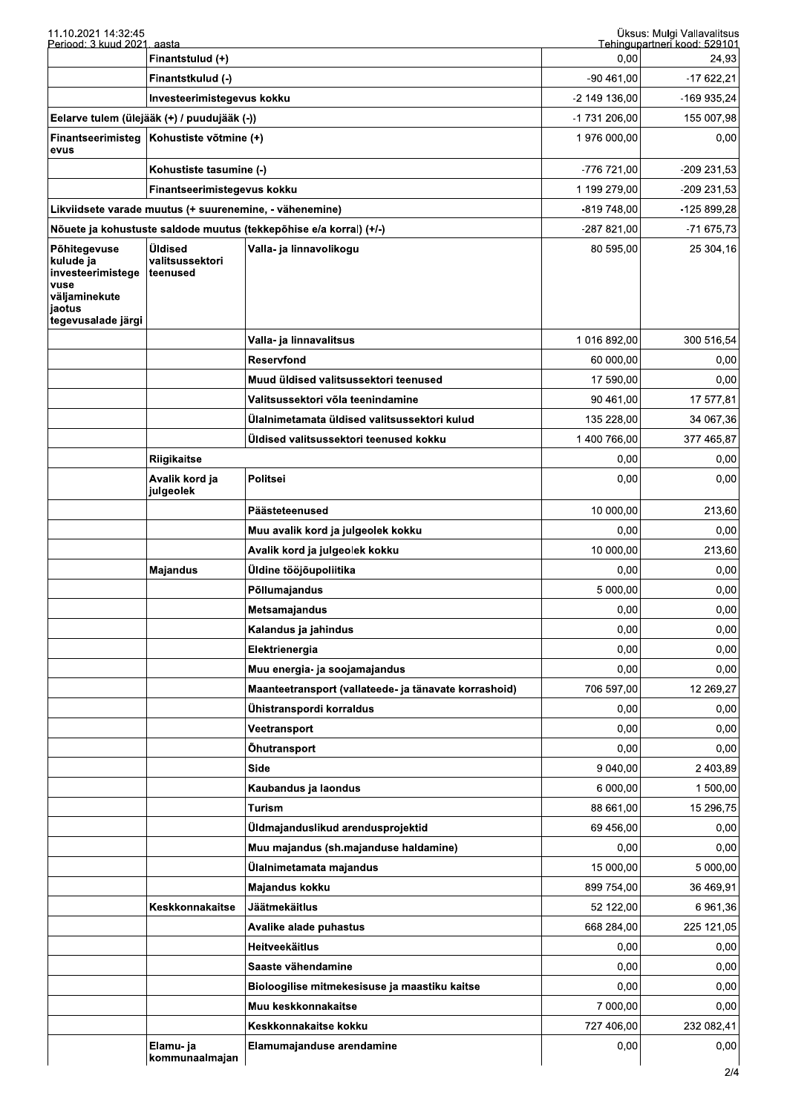| 11.10.2021 14:32:45<br>Periood: 3 kuud 2021. aasta                                                      |                                             |                                                                    |               | Üksus: Mulgi Vallavalitsus<br>Tehingupartneri kood: 529101 |
|---------------------------------------------------------------------------------------------------------|---------------------------------------------|--------------------------------------------------------------------|---------------|------------------------------------------------------------|
|                                                                                                         | Finantstulud (+)                            |                                                                    | 0,00          | 24,93                                                      |
|                                                                                                         | Finantstkulud (-)                           |                                                                    | $-90461,00$   | $-17622,21$                                                |
|                                                                                                         | Investeerimistegevus kokku                  |                                                                    | -2 149 136,00 | -169 935,24                                                |
|                                                                                                         | Eelarve tulem (ülejääk (+) / puudujääk (-)) |                                                                    | -1 731 206,00 | 155 007,98                                                 |
| Finantseerimisteg<br>evus                                                                               | Kohustiste võtmine (+)                      |                                                                    | 1976 000,00   | 0,00                                                       |
|                                                                                                         | Kohustiste tasumine (-)                     |                                                                    | -776 721,00   | -209 231,53                                                |
|                                                                                                         | Finantseerimistegevus kokku                 |                                                                    | 1 199 279,00  | -209 231,53                                                |
| Likviidsete varade muutus (+ suurenemine, - vähenemine)                                                 |                                             | -819 748,00                                                        | -125 899,28   |                                                            |
|                                                                                                         |                                             | Nõuete ja kohustuste saldode muutus (tekkepõhise e/a korral) (+/-) | -287 821,00   | -71 675,73                                                 |
| Põhitegevuse<br>kulude ja<br>investeerimistege<br>vuse<br>väljaminekute<br>jaotus<br>tegevusalade järgi | Üldised<br>valitsussektori<br>teenused      | Valla- ja linnavolikogu                                            | 80 595,00     | 25 304,16                                                  |
|                                                                                                         |                                             | Valla- ja linnavalitsus                                            | 1 016 892,00  | 300 516,54                                                 |
|                                                                                                         |                                             | <b>Reservfond</b>                                                  | 60 000,00     | 0,00                                                       |
|                                                                                                         |                                             | Muud üldised valitsussektori teenused                              | 17 590,00     | 0,00                                                       |
|                                                                                                         |                                             | Valitsussektori võla teenindamine                                  | 90 461,00     | 17 577,81                                                  |
|                                                                                                         |                                             | Ülalnimetamata üldised valitsussektori kulud                       | 135 228,00    | 34 067,36                                                  |
|                                                                                                         |                                             | Üldised valitsussektori teenused kokku                             | 1 400 766,00  | 377 465,87                                                 |
|                                                                                                         | <b>Riigikaitse</b>                          |                                                                    | 0,00          | 0,00                                                       |
|                                                                                                         | Avalik kord ja<br>julgeolek                 | Politsei                                                           | 0,00          | 0,00                                                       |
|                                                                                                         |                                             | Päästeteenused                                                     | 10 000,00     | 213,60                                                     |
|                                                                                                         |                                             | Muu avalik kord ja julgeolek kokku                                 | 0,00          | 0,00                                                       |
|                                                                                                         |                                             | Avalik kord ja julgeolek kokku                                     | 10 000,00     | 213,60                                                     |
|                                                                                                         | <b>Majandus</b>                             | Üldine tööjõupoliitika                                             | 0,00          | 0,00                                                       |
|                                                                                                         |                                             | Põllumajandus                                                      | 5 000,00      | 0,00                                                       |
|                                                                                                         |                                             | <b>Metsamajandus</b>                                               | 0,00          | 0,00                                                       |
|                                                                                                         |                                             | Kalandus ja jahindus                                               | 0,00          | 0,00                                                       |
|                                                                                                         |                                             | Elektrienergia                                                     | 0,00          | 0,00                                                       |
|                                                                                                         |                                             | Muu energia- ja soojamajandus                                      | 0,00          | 0,00                                                       |
|                                                                                                         |                                             | Maanteetransport (vallateede- ja tänavate korrashoid)              | 706 597,00    | 12 269,27                                                  |
|                                                                                                         |                                             | Ühistranspordi korraldus                                           | 0,00          | 0,00                                                       |
|                                                                                                         |                                             | Veetransport                                                       | 0,00          | 0,00                                                       |
|                                                                                                         |                                             | Öhutransport                                                       | 0,00          | 0,00                                                       |
|                                                                                                         |                                             | Side                                                               | 9 040,00      | 2 403,89                                                   |
|                                                                                                         |                                             | Kaubandus ja laondus                                               | 6 000,00      | 1 500,00                                                   |
|                                                                                                         |                                             | Turism                                                             | 88 661,00     | 15 296,75                                                  |
|                                                                                                         |                                             | Üldmajanduslikud arendusprojektid                                  | 69 456,00     | 0,00                                                       |
|                                                                                                         |                                             | Muu majandus (sh.majanduse haldamine)                              | 0,00          | 0,00                                                       |
|                                                                                                         |                                             | Ülalnimetamata majandus                                            | 15 000,00     | 5 000,00                                                   |
|                                                                                                         |                                             | Majandus kokku                                                     | 899 754,00    | 36 469,91                                                  |
|                                                                                                         | Keskkonnakaitse                             | <b>Jäätmekäitlus</b>                                               | 52 122,00     | 6 961,36                                                   |
|                                                                                                         |                                             | Avalike alade puhastus                                             | 668 284,00    | 225 121,05                                                 |
|                                                                                                         |                                             | <b>Heitveekäitlus</b>                                              | 0,00          | 0,00                                                       |
|                                                                                                         |                                             | Saaste vähendamine                                                 | 0,00          | 0,00                                                       |
|                                                                                                         |                                             | Bioloogilise mitmekesisuse ja maastiku kaitse                      | 0,00          | 0,00                                                       |
|                                                                                                         |                                             | Muu keskkonnakaitse                                                | 7 000,00      | 0,00                                                       |
|                                                                                                         |                                             | Keskkonnakaitse kokku                                              | 727 406,00    | 232 082,41                                                 |
|                                                                                                         | Elamu-ja<br>kommunaalmajan                  | Elamumajanduse arendamine                                          | 0,00          | 0,00                                                       |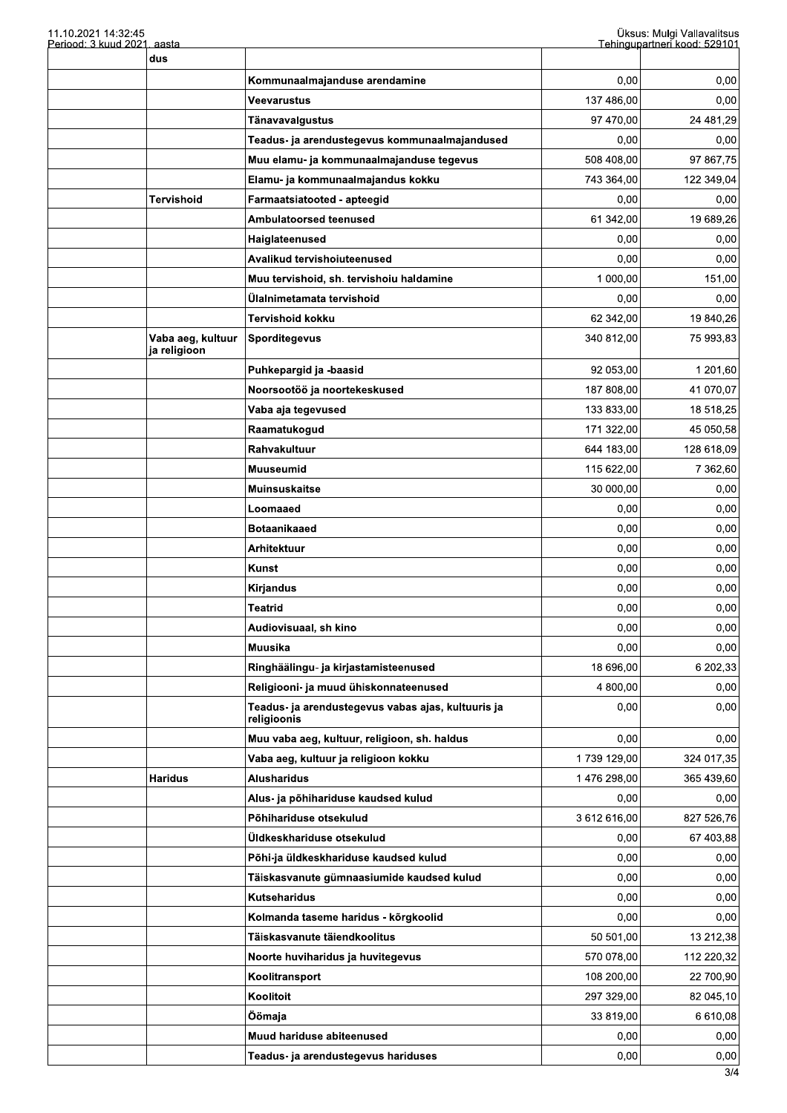| 11.10.2021 14:32:45<br>Periood: 3 kuud 2021. aasta |                                   |                                                                   | Üksus: Mulgi Vallavalitsus<br>Tehingupartneri kood: 529101 |            |
|----------------------------------------------------|-----------------------------------|-------------------------------------------------------------------|------------------------------------------------------------|------------|
|                                                    | dus                               |                                                                   |                                                            |            |
|                                                    |                                   | Kommunaalmajanduse arendamine                                     | 0,00                                                       | 0,00       |
|                                                    |                                   | Veevarustus                                                       | 137 486.00                                                 | 0,00       |
|                                                    |                                   | Tänavavalgustus                                                   | 97 470,00                                                  | 24 481,29  |
|                                                    |                                   | Teadus- ja arendustegevus kommunaalmajandused                     | 0,00                                                       | 0,00       |
|                                                    |                                   | Muu elamu- ja kommunaalmajanduse tegevus                          | 508 408,00                                                 | 97 867,75  |
|                                                    |                                   | Elamu- ja kommunaalmajandus kokku                                 | 743 364,00                                                 | 122 349,04 |
|                                                    | Tervishoid                        | Farmaatsiatooted - apteegid                                       | 0,00                                                       | 0,00       |
|                                                    |                                   | Ambulatoorsed teenused                                            | 61 342,00                                                  | 19 689,26  |
|                                                    |                                   | Haiglateenused                                                    | 0,00                                                       | 0,00       |
|                                                    |                                   | Avalikud tervishoiuteenused                                       | 0,00                                                       | 0,00       |
|                                                    |                                   | Muu tervishoid, sh. tervishoiu haldamine                          | 1 000,00                                                   | 151,00     |
|                                                    |                                   | Ülalnimetamata tervishoid                                         | 0,00                                                       | 0,00       |
|                                                    |                                   | Tervishoid kokku                                                  | 62 342,00                                                  | 19 840,26  |
|                                                    | Vaba aeg, kultuur<br>ja religioon | <b>Sporditegevus</b>                                              | 340 812.00                                                 | 75 993,83  |
|                                                    |                                   | Puhkepargid ja -baasid                                            | 92 053,00                                                  | 1 201,60   |
|                                                    |                                   | Noorsootöö ja noortekeskused                                      | 187 808,00                                                 | 41 070,07  |
|                                                    |                                   | Vaba aja tegevused                                                | 133 833,00                                                 | 18 518,25  |
|                                                    |                                   | Raamatukogud                                                      | 171 322,00                                                 | 45 050,58  |
|                                                    |                                   | <b>Rahvakultuur</b>                                               | 644 183,00                                                 | 128 618,09 |
|                                                    |                                   | Muuseumid                                                         | 115 622,00                                                 | 7 362,60   |
|                                                    |                                   | Muinsuskaitse                                                     | 30 000,00                                                  | 0,00       |
|                                                    |                                   | Loomaaed                                                          | 0,00                                                       | 0,00       |
|                                                    |                                   | <b>Botaanikaaed</b>                                               | 0,00                                                       | 0,00       |
|                                                    |                                   | Arhitektuur                                                       | 0,00                                                       | 0,00       |
|                                                    |                                   | <b>Kunst</b>                                                      | 0,00                                                       | 0,00       |
|                                                    |                                   | Kirjandus                                                         | 0,00                                                       | 0,00       |
|                                                    |                                   | <b>Teatrid</b>                                                    | 0,00                                                       | 0,00       |
|                                                    |                                   | Audiovisuaal, sh kino                                             | 0,00                                                       | 0,00       |
|                                                    |                                   | Muusika                                                           | 0,00                                                       | 0,00       |
|                                                    |                                   | Ringhäälingu- ja kirjastamisteenused                              | 18 696,00                                                  | 6 202,33   |
|                                                    |                                   | Religiooni- ja muud ühiskonnateenused                             | 4 800,00                                                   | 0,00       |
|                                                    |                                   | Teadus- ja arendustegevus vabas ajas, kultuuris ja<br>religioonis | 0,00                                                       | 0,00       |
|                                                    |                                   | Muu vaba aeg, kultuur, religioon, sh. haldus                      | 0,00                                                       | 0,00       |
|                                                    |                                   | Vaba aeg, kultuur ja religioon kokku                              | 1739 129,00                                                | 324 017,35 |
|                                                    | <b>Haridus</b>                    | Alusharidus                                                       | 1476 298,00                                                | 365 439,60 |
|                                                    |                                   | Alus- ja põhihariduse kaudsed kulud                               | 0,00                                                       | 0,00       |
|                                                    |                                   | Põhihariduse otsekulud                                            | 3612616,00                                                 | 827 526,76 |
|                                                    |                                   | Üldkeskhariduse otsekulud                                         | 0,00                                                       | 67 403,88  |
|                                                    |                                   | Põhi-ja üldkeskhariduse kaudsed kulud                             | 0,00                                                       | 0,00       |
|                                                    |                                   | Täiskasvanute gümnaasiumide kaudsed kulud                         | 0,00                                                       | 0,00       |
|                                                    |                                   | Kutseharidus                                                      | 0,00                                                       | 0,00       |
|                                                    |                                   | Kolmanda taseme haridus - kõrgkoolid                              | 0,00                                                       | 0,00       |
|                                                    |                                   | Täiskasvanute täiendkoolitus                                      | 50 501,00                                                  | 13 212,38  |
|                                                    |                                   | Noorte huviharidus ja huvitegevus                                 | 570 078,00                                                 | 112 220,32 |
|                                                    |                                   | Koolitransport                                                    | 108 200,00                                                 | 22 700,90  |
|                                                    |                                   | Koolitoit                                                         | 297 329,00                                                 | 82 045,10  |
|                                                    |                                   | Öömaja                                                            | 33 819,00                                                  | 6 610,08   |
|                                                    |                                   | Muud hariduse abiteenused                                         | 0,00                                                       | 0,00       |
|                                                    |                                   | Teadus- ja arendustegevus hariduses                               | 0,00                                                       | 0,00       |